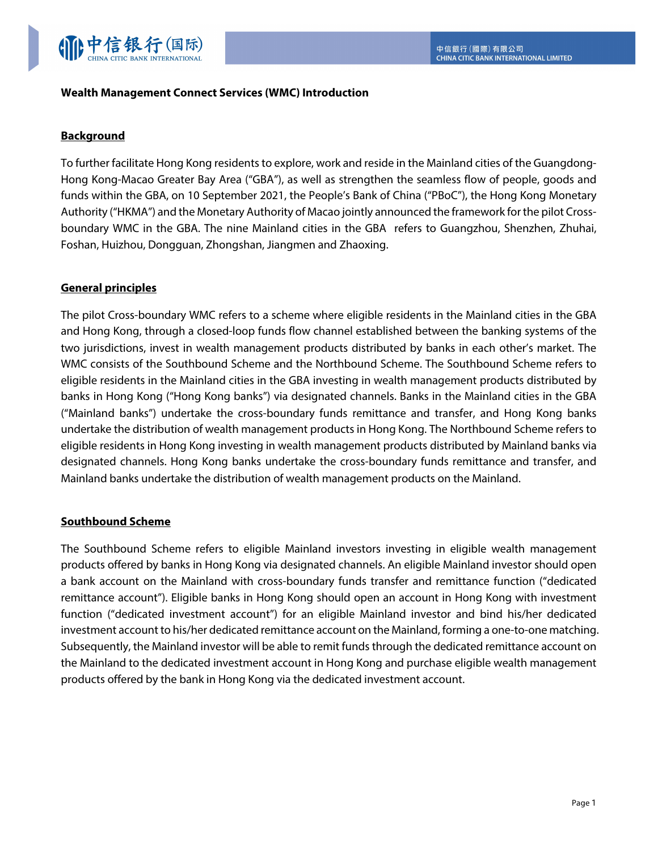

### **Wealth Management Connect Services (WMC) Introduction**

### **Background**

To further facilitate Hong Kong residents to explore, work and reside in the Mainland cities of the Guangdong-Hong Kong-Macao Greater Bay Area ("GBA"), as well as strengthen the seamless flow of people, goods and funds within the GBA, on 10 September 2021, the People's Bank of China ("PBoC"), the Hong Kong Monetary Authority ("HKMA") and the Monetary Authority of Macao jointly announced the framework for the pilot Crossboundary WMC in the GBA. The nine Mainland cities in the GBA refers to Guangzhou, Shenzhen, Zhuhai, Foshan, Huizhou, Dongguan, Zhongshan, Jiangmen and Zhaoxing.

## **General principles**

The pilot Cross-boundary WMC refers to a scheme where eligible residents in the Mainland cities in the GBA and Hong Kong, through a closed-loop funds flow channel established between the banking systems of the two jurisdictions, invest in wealth management products distributed by banks in each other's market. The WMC consists of the Southbound Scheme and the Northbound Scheme. The Southbound Scheme refers to eligible residents in the Mainland cities in the GBA investing in wealth management products distributed by banks in Hong Kong ("Hong Kong banks") via designated channels. Banks in the Mainland cities in the GBA ("Mainland banks") undertake the cross-boundary funds remittance and transfer, and Hong Kong banks undertake the distribution of wealth management products in Hong Kong. The Northbound Scheme refers to eligible residents in Hong Kong investing in wealth management products distributed by Mainland banks via designated channels. Hong Kong banks undertake the cross-boundary funds remittance and transfer, and Mainland banks undertake the distribution of wealth management products on the Mainland.

### **Southbound Scheme**

The Southbound Scheme refers to eligible Mainland investors investing in eligible wealth management products offered by banks in Hong Kong via designated channels. An eligible Mainland investor should open a bank account on the Mainland with cross-boundary funds transfer and remittance function ("dedicated remittance account"). Eligible banks in Hong Kong should open an account in Hong Kong with investment function ("dedicated investment account") for an eligible Mainland investor and bind his/her dedicated investment account to his/her dedicated remittance account on the Mainland, forming a one-to-one matching. Subsequently, the Mainland investor will be able to remit funds through the dedicated remittance account on the Mainland to the dedicated investment account in Hong Kong and purchase eligible wealth management products offered by the bank in Hong Kong via the dedicated investment account.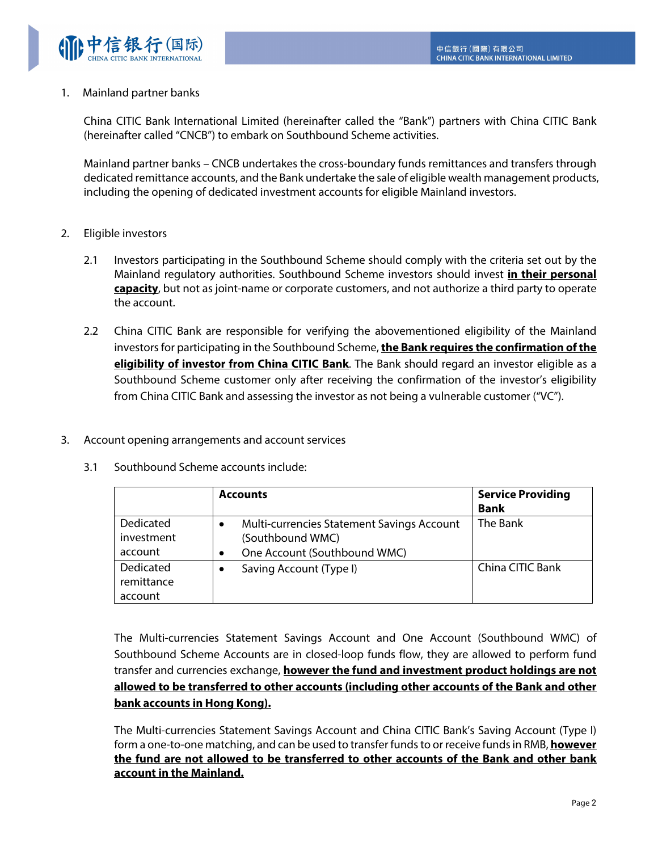

## 1. Mainland partner banks

China CITIC Bank International Limited (hereinafter called the "Bank") partners with China CITIC Bank (hereinafter called "CNCB") to embark on Southbound Scheme activities.

Mainland partner banks – CNCB undertakes the cross-boundary funds remittances and transfers through dedicated remittance accounts, and the Bank undertake the sale of eligible wealth management products, including the opening of dedicated investment accounts for eligible Mainland investors.

# 2. Eligible investors

- 2.1 Investors participating in the Southbound Scheme should comply with the criteria set out by the Mainland regulatory authorities. Southbound Scheme investors should invest **in their personal capacity**, but not as joint-name or corporate customers, and not authorize a third party to operate the account.
- 2.2 China CITIC Bank are responsible for verifying the abovementioned eligibility of the Mainland investors for participating in the Southbound Scheme, **the Bank requires the confirmation of the eligibility of investor from China CITIC Bank**. The Bank should regard an investor eligible as a Southbound Scheme customer only after receiving the confirmation of the investor's eligibility from China CITIC Bank and assessing the investor as not being a vulnerable customer ("VC").
- 3. Account opening arrangements and account services
	- 3.1 Southbound Scheme accounts include:

|                                    | <b>Accounts</b>                                                                                                         | <b>Service Providing</b><br><b>Bank</b> |
|------------------------------------|-------------------------------------------------------------------------------------------------------------------------|-----------------------------------------|
| Dedicated<br>investment<br>account | <b>Multi-currencies Statement Savings Account</b><br>$\bullet$<br>(Southbound WMC)<br>One Account (Southbound WMC)<br>٠ | The Bank                                |
| Dedicated<br>remittance<br>account | Saving Account (Type I)<br>٠                                                                                            | China CITIC Bank                        |

The Multi-currencies Statement Savings Account and One Account (Southbound WMC) of Southbound Scheme Accounts are in closed-loop funds flow, they are allowed to perform fund transfer and currencies exchange, **however the fund and investment product holdings are not allowed to be transferred to other accounts (including other accounts of the Bank and other bank accounts in Hong Kong).**

The Multi-currencies Statement Savings Account and China CITIC Bank's Saving Account (Type I) form a one-to-one matching, and can be used to transfer funds to or receive funds in RMB, **however the fund are not allowed to be transferred to other accounts of the Bank and other bank account in the Mainland.**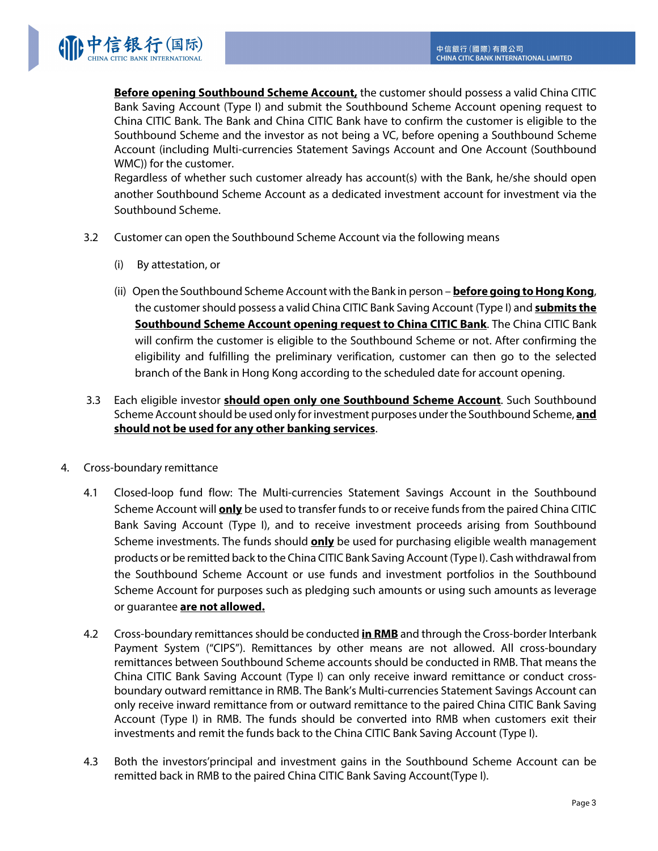

**Before opening Southbound Scheme Account,** the customer should possess a valid China CITIC Bank Saving Account (Type I) and submit the Southbound Scheme Account opening request to China CITIC Bank. The Bank and China CITIC Bank have to confirm the customer is eligible to the Southbound Scheme and the investor as not being a VC, before opening a Southbound Scheme Account (including Multi-currencies Statement Savings Account and One Account (Southbound WMC)) for the customer.

Regardless of whether such customer already has account(s) with the Bank, he/she should open another Southbound Scheme Account as a dedicated investment account for investment via the Southbound Scheme.

- 3.2 Customer can open the Southbound Scheme Account via the following means
	- (i) By attestation, or
	- (ii) Open the Southbound Scheme Account with the Bank in person **before going to Hong Kong**, the customer should possess a valid China CITIC Bank Saving Account (Type I) and **submits the Southbound Scheme Account opening request to China CITIC Bank**. The China CITIC Bank will confirm the customer is eligible to the Southbound Scheme or not. After confirming the eligibility and fulfilling the preliminary verification, customer can then go to the selected branch of the Bank in Hong Kong according to the scheduled date for account opening.
- 3.3 Each eligible investor **should open only one Southbound Scheme Account**. Such Southbound Scheme Account should be used only for investment purposes under the Southbound Scheme, **and should not be used for any other banking services**.
- 4. Cross-boundary remittance
	- 4.1 Closed-loop fund flow: The Multi-currencies Statement Savings Account in the Southbound Scheme Account will **only** be used to transfer funds to or receive funds from the paired China CITIC Bank Saving Account (Type I), and to receive investment proceeds arising from Southbound Scheme investments. The funds should **only** be used for purchasing eligible wealth management products or be remitted back to the China CITIC Bank Saving Account (Type I). Cash withdrawal from the Southbound Scheme Account or use funds and investment portfolios in the Southbound Scheme Account for purposes such as pledging such amounts or using such amounts as leverage or guarantee **are not allowed.**
	- 4.2 Cross-boundary remittances should be conducted **in RMB** and through the Cross-border Interbank Payment System ("CIPS"). Remittances by other means are not allowed. All cross-boundary remittances between Southbound Scheme accounts should be conducted in RMB. That means the China CITIC Bank Saving Account (Type I) can only receive inward remittance or conduct crossboundary outward remittance in RMB. The Bank's Multi-currencies Statement Savings Account can only receive inward remittance from or outward remittance to the paired China CITIC Bank Saving Account (Type I) in RMB. The funds should be converted into RMB when customers exit their investments and remit the funds back to the China CITIC Bank Saving Account (Type I).
	- 4.3 Both the investors'principal and investment gains in the Southbound Scheme Account can be remitted back in RMB to the paired China CITIC Bank Saving Account(Type I).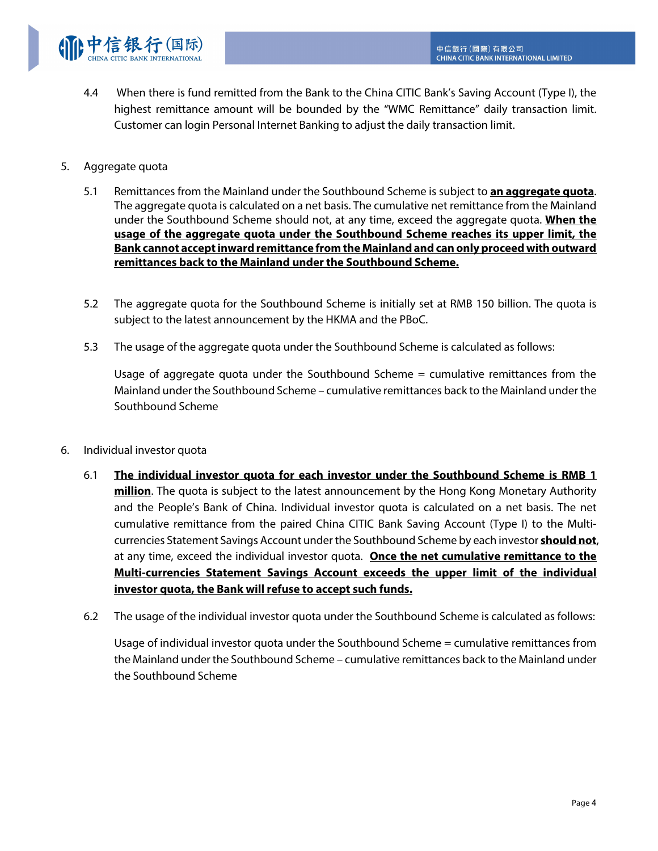

4.4 When there is fund remitted from the Bank to the China CITIC Bank's Saving Account (Type I), the highest remittance amount will be bounded by the "WMC Remittance" daily transaction limit. Customer can login Personal Internet Banking to adjust the daily transaction limit.

## 5. Aggregate quota

- 5.1 Remittances from the Mainland under the Southbound Scheme is subject to **an aggregate quota**. The aggregate quota is calculated on a net basis. The cumulative net remittance from the Mainland under the Southbound Scheme should not, at any time, exceed the aggregate quota. **When the usage of the aggregate quota under the Southbound Scheme reaches its upper limit, the Bank cannot accept inward remittance from the Mainland and can only proceed with outward remittances back to the Mainland under the Southbound Scheme.**
- 5.2 The aggregate quota for the Southbound Scheme is initially set at RMB 150 billion. The quota is subject to the latest announcement by the HKMA and the PBoC.
- 5.3 The usage of the aggregate quota under the Southbound Scheme is calculated as follows:

Usage of aggregate quota under the Southbound Scheme  $=$  cumulative remittances from the Mainland under the Southbound Scheme – cumulative remittances back to the Mainland under the Southbound Scheme

- 6. Individual investor quota
	- 6.1 **The individual investor quota for each investor under the Southbound Scheme is RMB 1 million**. The quota is subject to the latest announcement by the Hong Kong Monetary Authority and the People's Bank of China. Individual investor quota is calculated on a net basis. The net cumulative remittance from the paired China CITIC Bank Saving Account (Type I) to the Multicurrencies Statement Savings Account under the Southbound Scheme by each investor **should not**, at any time, exceed the individual investor quota. **Once the net cumulative remittance to the Multi-currencies Statement Savings Account exceeds the upper limit of the individual investor quota, the Bank will refuse to accept such funds.**
	- 6.2 The usage of the individual investor quota under the Southbound Scheme is calculated as follows:

Usage of individual investor quota under the Southbound Scheme = cumulative remittances from the Mainland under the Southbound Scheme – cumulative remittances back to the Mainland under the Southbound Scheme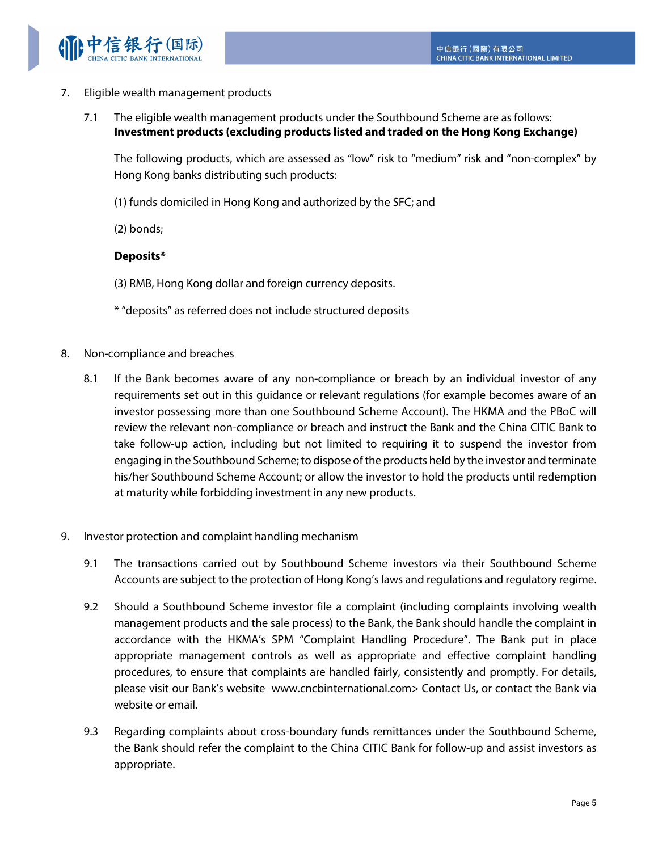

- 7. Eligible wealth management products
	- 7.1 The eligible wealth management products under the Southbound Scheme are as follows: **Investment products (excluding products listed and traded on the Hong Kong Exchange)**

The following products, which are assessed as "low" risk to "medium" risk and "non-complex" by Hong Kong banks distributing such products:

(1) funds domiciled in Hong Kong and authorized by the SFC; and

(2) bonds;

## **Deposits\***

- (3) RMB, Hong Kong dollar and foreign currency deposits.
- \* "deposits" as referred does not include structured deposits
- 8. Non-compliance and breaches
	- 8.1 If the Bank becomes aware of any non-compliance or breach by an individual investor of any requirements set out in this guidance or relevant regulations (for example becomes aware of an investor possessing more than one Southbound Scheme Account). The HKMA and the PBoC will review the relevant non-compliance or breach and instruct the Bank and the China CITIC Bank to take follow-up action, including but not limited to requiring it to suspend the investor from engaging in the Southbound Scheme; to dispose of the products held by the investor and terminate his/her Southbound Scheme Account; or allow the investor to hold the products until redemption at maturity while forbidding investment in any new products.
- 9. Investor protection and complaint handling mechanism
	- 9.1 The transactions carried out by Southbound Scheme investors via their Southbound Scheme Accounts are subject to the protection of Hong Kong's laws and regulations and regulatory regime.
	- 9.2 Should a Southbound Scheme investor file a complaint (including complaints involving wealth management products and the sale process) to the Bank, the Bank should handle the complaint in accordance with the HKMA's SPM "Complaint Handling Procedure". The Bank put in place appropriate management controls as well as appropriate and effective complaint handling procedures, to ensure that complaints are handled fairly, consistently and promptly. For details, please visit our Bank's website www.cncbinternational.com> Contact Us, or contact the Bank via website or email.
	- 9.3 Regarding complaints about cross-boundary funds remittances under the Southbound Scheme, the Bank should refer the complaint to the China CITIC Bank for follow-up and assist investors as appropriate.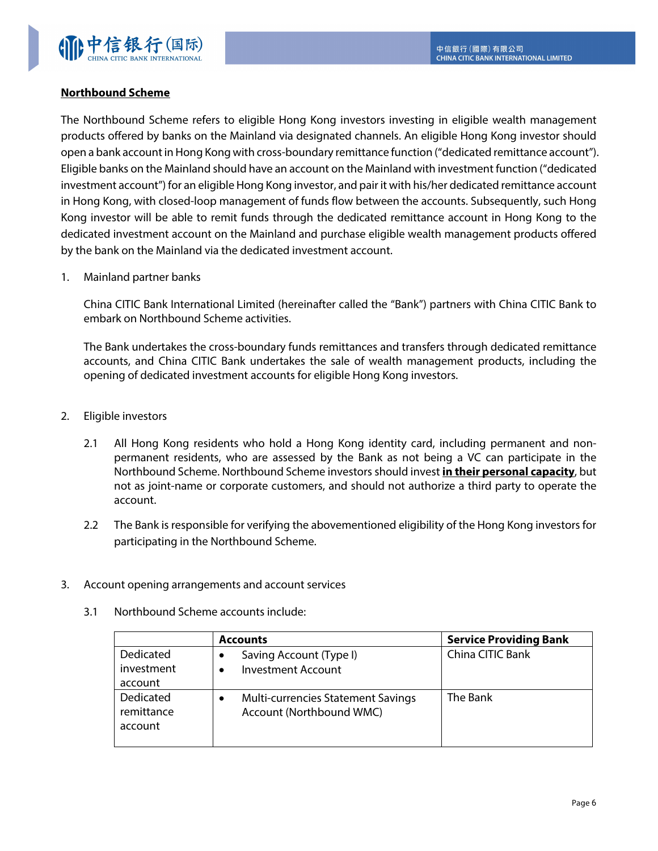

# **Northbound Scheme**

The Northbound Scheme refers to eligible Hong Kong investors investing in eligible wealth management products offered by banks on the Mainland via designated channels. An eligible Hong Kong investor should open a bank account in Hong Kong with cross-boundary remittance function ("dedicated remittance account"). Eligible banks on the Mainland should have an account on the Mainland with investment function ("dedicated investment account") for an eligible Hong Kong investor, and pair it with his/her dedicated remittance account in Hong Kong, with closed-loop management of funds flow between the accounts. Subsequently, such Hong Kong investor will be able to remit funds through the dedicated remittance account in Hong Kong to the dedicated investment account on the Mainland and purchase eligible wealth management products offered by the bank on the Mainland via the dedicated investment account.

1. Mainland partner banks

China CITIC Bank International Limited (hereinafter called the "Bank") partners with China CITIC Bank to embark on Northbound Scheme activities.

The Bank undertakes the cross-boundary funds remittances and transfers through dedicated remittance accounts, and China CITIC Bank undertakes the sale of wealth management products, including the opening of dedicated investment accounts for eligible Hong Kong investors.

- 2. Eligible investors
	- 2.1 All Hong Kong residents who hold a Hong Kong identity card, including permanent and nonpermanent residents, who are assessed by the Bank as not being a VC can participate in the Northbound Scheme. Northbound Scheme investors should invest **in their personal capacity**, but not as joint-name or corporate customers, and should not authorize a third party to operate the account.
	- 2.2 The Bank is responsible for verifying the abovementioned eligibility of the Hong Kong investors for participating in the Northbound Scheme.
- 3. Account opening arrangements and account services
	- 3.1 Northbound Scheme accounts include:

|                                    | <b>Accounts</b>                                                            | <b>Service Providing Bank</b> |
|------------------------------------|----------------------------------------------------------------------------|-------------------------------|
| Dedicated<br>investment<br>account | Saving Account (Type I)<br><b>Investment Account</b><br>$\bullet$          | China CITIC Bank              |
| Dedicated<br>remittance<br>account | <b>Multi-currencies Statement Savings</b><br>٠<br>Account (Northbound WMC) | The Bank                      |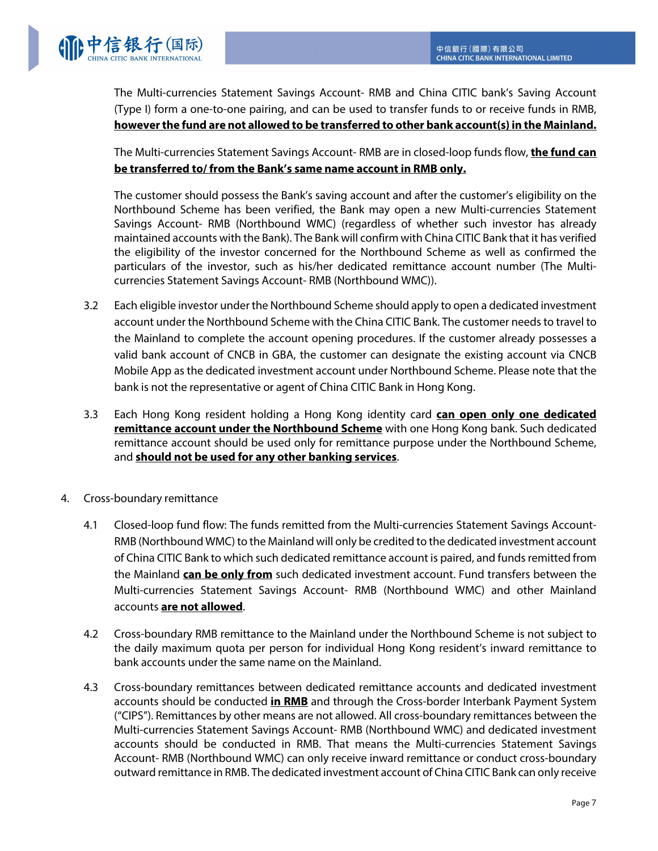

The Multi-currencies Statement Savings Account- RMB and China CITIC bank's Saving Account (Type I) form a one-to-one pairing, and can be used to transfer funds to or receive funds in RMB, **however the fund are not allowed to be transferred to other bank account(s) in the Mainland.** 

The Multi-currencies Statement Savings Account- RMB are in closed-loop funds flow, **the fund can be transferred to/ from the Bank's same name account in RMB only.**

The customer should possess the Bank's saving account and after the customer's eligibility on the Northbound Scheme has been verified, the Bank may open a new Multi-currencies Statement Savings Account- RMB (Northbound WMC) (regardless of whether such investor has already maintained accounts with the Bank). The Bank will confirm with China CITIC Bank that it has verified the eligibility of the investor concerned for the Northbound Scheme as well as confirmed the particulars of the investor, such as his/her dedicated remittance account number (The Multicurrencies Statement Savings Account- RMB (Northbound WMC)).

- 3.2 Each eligible investor under the Northbound Scheme should apply to open a dedicated investment account under the Northbound Scheme with the China CITIC Bank. The customer needs to travel to the Mainland to complete the account opening procedures. If the customer already possesses a valid bank account of CNCB in GBA, the customer can designate the existing account via CNCB Mobile App as the dedicated investment account under Northbound Scheme. Please note that the bank is not the representative or agent of China CITIC Bank in Hong Kong.
- 3.3 Each Hong Kong resident holding a Hong Kong identity card **can open only one dedicated remittance account under the Northbound Scheme** with one Hong Kong bank. Such dedicated remittance account should be used only for remittance purpose under the Northbound Scheme, and **should not be used for any other banking services**.
- 4. Cross-boundary remittance
	- 4.1 Closed-loop fund flow: The funds remitted from the Multi-currencies Statement Savings Account-RMB (Northbound WMC) to the Mainland will only be credited to the dedicated investment account of China CITIC Bank to which such dedicated remittance account is paired, and funds remitted from the Mainland **can be only from** such dedicated investment account. Fund transfers between the Multi-currencies Statement Savings Account- RMB (Northbound WMC) and other Mainland accounts **are not allowed**.
	- 4.2 Cross-boundary RMB remittance to the Mainland under the Northbound Scheme is not subject to the daily maximum quota per person for individual Hong Kong resident's inward remittance to bank accounts under the same name on the Mainland.
	- 4.3 Cross-boundary remittances between dedicated remittance accounts and dedicated investment accounts should be conducted **in RMB** and through the Cross-border Interbank Payment System ("CIPS"). Remittances by other means are not allowed. All cross-boundary remittances between the Multi-currencies Statement Savings Account- RMB (Northbound WMC) and dedicated investment accounts should be conducted in RMB. That means the Multi-currencies Statement Savings Account- RMB (Northbound WMC) can only receive inward remittance or conduct cross-boundary outward remittance in RMB. The dedicated investment account of China CITIC Bank can only receive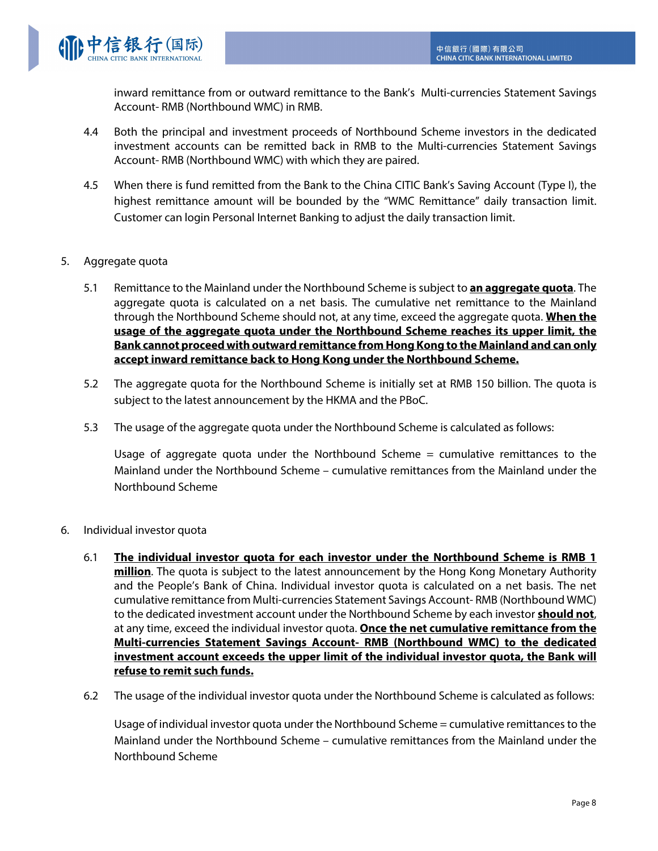

inward remittance from or outward remittance to the Bank's Multi-currencies Statement Savings Account- RMB (Northbound WMC) in RMB.

- 4.4 Both the principal and investment proceeds of Northbound Scheme investors in the dedicated investment accounts can be remitted back in RMB to the Multi-currencies Statement Savings Account- RMB (Northbound WMC) with which they are paired.
- 4.5 When there is fund remitted from the Bank to the China CITIC Bank's Saving Account (Type I), the highest remittance amount will be bounded by the "WMC Remittance" daily transaction limit. Customer can login Personal Internet Banking to adjust the daily transaction limit.
- 5. Aggregate quota
	- 5.1 Remittance to the Mainland under the Northbound Scheme is subject to **an aggregate quota**. The aggregate quota is calculated on a net basis. The cumulative net remittance to the Mainland through the Northbound Scheme should not, at any time, exceed the aggregate quota. **When the usage of the aggregate quota under the Northbound Scheme reaches its upper limit, the Bank cannot proceed with outward remittance from Hong Kong to the Mainland and can only accept inward remittance back to Hong Kong under the Northbound Scheme.**
	- 5.2 The aggregate quota for the Northbound Scheme is initially set at RMB 150 billion. The quota is subject to the latest announcement by the HKMA and the PBoC.
	- 5.3 The usage of the aggregate quota under the Northbound Scheme is calculated as follows:

Usage of aggregate quota under the Northbound Scheme = cumulative remittances to the Mainland under the Northbound Scheme – cumulative remittances from the Mainland under the Northbound Scheme

- 6. Individual investor quota
	- 6.1 **The individual investor quota for each investor under the Northbound Scheme is RMB 1 million**. The quota is subject to the latest announcement by the Hong Kong Monetary Authority and the People's Bank of China. Individual investor quota is calculated on a net basis. The net cumulative remittance from Multi-currencies Statement Savings Account- RMB (Northbound WMC) to the dedicated investment account under the Northbound Scheme by each investor **should not**, at any time, exceed the individual investor quota. **Once the net cumulative remittance from the Multi-currencies Statement Savings Account- RMB (Northbound WMC) to the dedicated investment account exceeds the upper limit of the individual investor quota, the Bank will refuse to remit such funds.**
	- 6.2 The usage of the individual investor quota under the Northbound Scheme is calculated as follows:

Usage of individual investor quota under the Northbound Scheme = cumulative remittances to the Mainland under the Northbound Scheme – cumulative remittances from the Mainland under the Northbound Scheme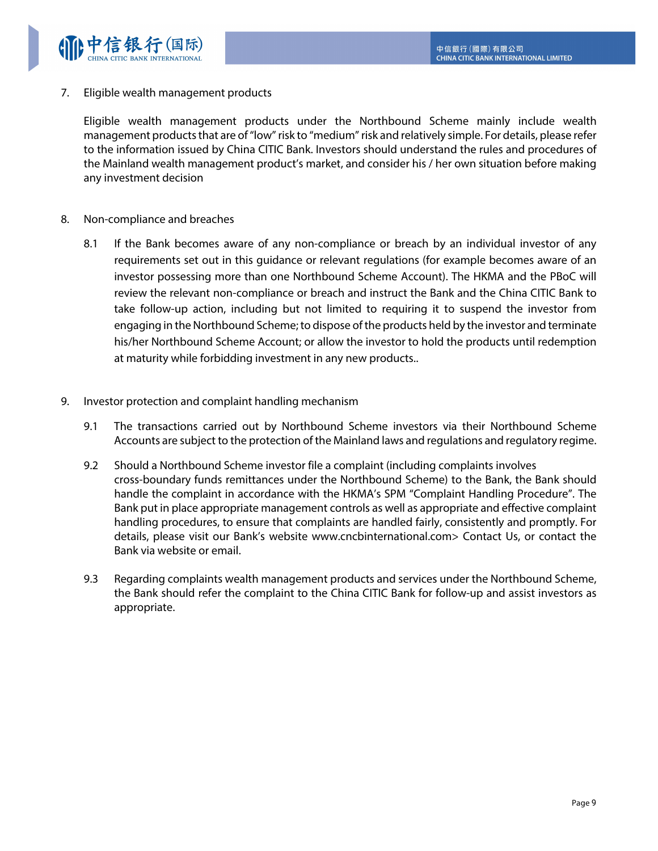

7. Eligible wealth management products

Eligible wealth management products under the Northbound Scheme mainly include wealth management products that are of "low" risk to "medium" risk and relatively simple. For details, please refer to the information issued by China CITIC Bank. Investors should understand the rules and procedures of the Mainland wealth management product's market, and consider his / her own situation before making any investment decision

- 8. Non-compliance and breaches
	- 8.1 If the Bank becomes aware of any non-compliance or breach by an individual investor of any requirements set out in this guidance or relevant regulations (for example becomes aware of an investor possessing more than one Northbound Scheme Account). The HKMA and the PBoC will review the relevant non-compliance or breach and instruct the Bank and the China CITIC Bank to take follow-up action, including but not limited to requiring it to suspend the investor from engaging in the Northbound Scheme; to dispose of the products held by the investor and terminate his/her Northbound Scheme Account; or allow the investor to hold the products until redemption at maturity while forbidding investment in any new products..
- 9. Investor protection and complaint handling mechanism
	- 9.1 The transactions carried out by Northbound Scheme investors via their Northbound Scheme Accounts are subject to the protection of the Mainland laws and regulations and regulatory regime.
	- 9.2 Should a Northbound Scheme investor file a complaint (including complaints involves cross-boundary funds remittances under the Northbound Scheme) to the Bank, the Bank should handle the complaint in accordance with the HKMA's SPM "Complaint Handling Procedure". The Bank put in place appropriate management controls as well as appropriate and effective complaint handling procedures, to ensure that complaints are handled fairly, consistently and promptly. For details, please visit our Bank's website www.cncbinternational.com> Contact Us, or contact the Bank via website or email.
	- 9.3 Regarding complaints wealth management products and services under the Northbound Scheme, the Bank should refer the complaint to the China CITIC Bank for follow-up and assist investors as appropriate.